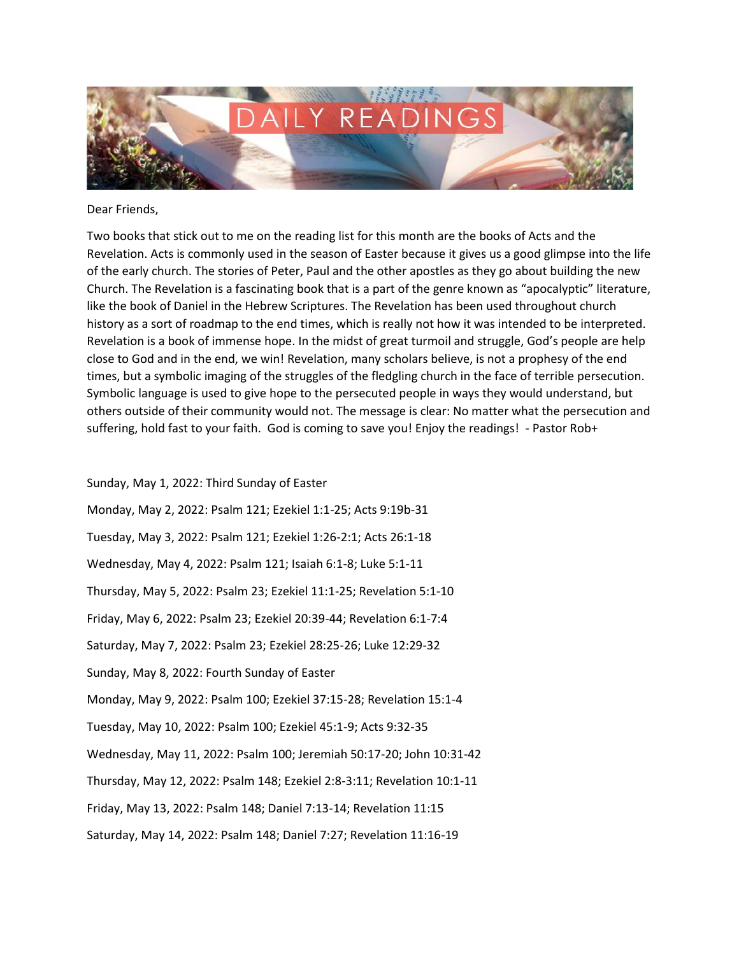

Dear Friends,

Two books that stick out to me on the reading list for this month are the books of Acts and the Revelation. Acts is commonly used in the season of Easter because it gives us a good glimpse into the life of the early church. The stories of Peter, Paul and the other apostles as they go about building the new Church. The Revelation is a fascinating book that is a part of the genre known as "apocalyptic" literature, like the book of Daniel in the Hebrew Scriptures. The Revelation has been used throughout church history as a sort of roadmap to the end times, which is really not how it was intended to be interpreted. Revelation is a book of immense hope. In the midst of great turmoil and struggle, God's people are help close to God and in the end, we win! Revelation, many scholars believe, is not a prophesy of the end times, but a symbolic imaging of the struggles of the fledgling church in the face of terrible persecution. Symbolic language is used to give hope to the persecuted people in ways they would understand, but others outside of their community would not. The message is clear: No matter what the persecution and suffering, hold fast to your faith. God is coming to save you! Enjoy the readings! - Pastor Rob+

Sunday, May 1, 2022: Third Sunday of Easter Monday, May 2, 2022: Psalm 121; Ezekiel 1:1-25; Acts 9:19b-31 Tuesday, May 3, 2022: Psalm 121; Ezekiel 1:26-2:1; Acts 26:1-18 Wednesday, May 4, 2022: Psalm 121; Isaiah 6:1-8; Luke 5:1-11 Thursday, May 5, 2022: Psalm 23; Ezekiel 11:1-25; Revelation 5:1-10 Friday, May 6, 2022: Psalm 23; Ezekiel 20:39-44; Revelation 6:1-7:4 Saturday, May 7, 2022: Psalm 23; Ezekiel 28:25-26; Luke 12:29-32 Sunday, May 8, 2022: Fourth Sunday of Easter Monday, May 9, 2022: Psalm 100; Ezekiel 37:15-28; Revelation 15:1-4 Tuesday, May 10, 2022: Psalm 100; Ezekiel 45:1-9; Acts 9:32-35 Wednesday, May 11, 2022: Psalm 100; Jeremiah 50:17-20; John 10:31-42 Thursday, May 12, 2022: Psalm 148; Ezekiel 2:8-3:11; Revelation 10:1-11 Friday, May 13, 2022: Psalm 148; Daniel 7:13-14; Revelation 11:15 Saturday, May 14, 2022: Psalm 148; Daniel 7:27; Revelation 11:16-19